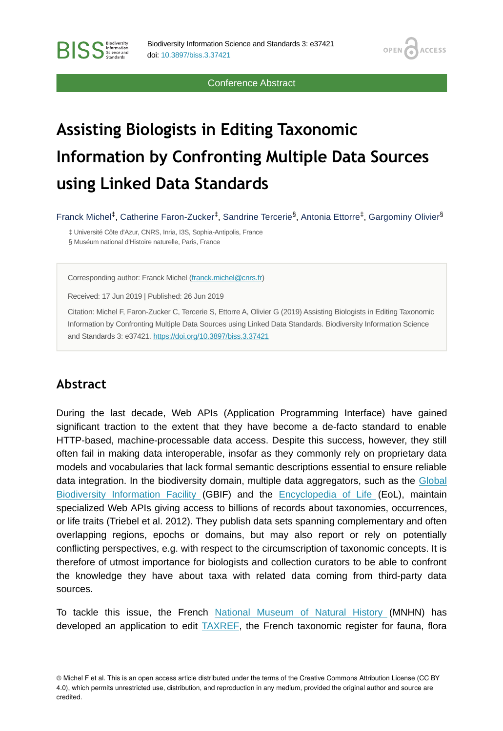Conference Abstract

**OPEN** 

**ACCESS** 

# **Assisting Biologists in Editing Taxonomic Information by Confronting Multiple Data Sources using Linked Data Standards**

Franck Michel<sup>‡</sup>, Catherine Faron-Zucker<sup>‡</sup>, Sandrine Tercerie<sup>§</sup>, Antonia Ettorre<sup>‡</sup>, Gargominy Olivier<sup>§</sup>

‡ Université Côte d'Azur, CNRS, Inria, I3S, Sophia-Antipolis, France § Muséum national d'Histoire naturelle, Paris, France

Corresponding author: Franck Michel [\(franck.michel@cnrs.fr](mailto:franck.michel@cnrs.fr))

Received: 17 Jun 2019 | Published: 26 Jun 2019

Citation: Michel F, Faron-Zucker C, Tercerie S, Ettorre A, Olivier G (2019) Assisting Biologists in Editing Taxonomic Information by Confronting Multiple Data Sources using Linked Data Standards. Biodiversity Information Science and Standards 3: e37421. <https://doi.org/10.3897/biss.3.37421>

## **Abstract**

**BISS** Steince and

During the last decade, Web APIs (Application Programming Interface) have gained significant traction to the extent that they have become a de-facto standard to enable HTTP-based, machine-processable data access. Despite this success, however, they still often fail in making data interoperable, insofar as they commonly rely on proprietary data models and vocabularies that lack formal semantic descriptions essential to ensure reliable data integration. In the biodiversity domain, multiple data aggregators, such as the [Global](http://gbif.org/) [Biodiversity Information Facility](http://gbif.org/) (GBIF) and the [Encyclopedia of Life](http://eol.org/) (EoL), maintain specialized Web APIs giving access to billions of records about taxonomies, occurrences, or life traits (Triebel et al. 2012). They publish data sets spanning complementary and often overlapping regions, epochs or domains, but may also report or rely on potentially conflicting perspectives, e.g. with respect to the circumscription of taxonomic concepts. It is therefore of utmost importance for biologists and collection curators to be able to confront the knowledge they have about taxa with related data coming from third-party data sources.

To tackle this issue, the French [National Museum of Natural History \(](https://www.mnhn.fr/)MNHN) has developed an application to edit  $TAXREE$ , the French taxonomic register for fauna, flora

© Michel F et al. This is an open access article distributed under the terms of the Creative Commons Attribution License (CC BY 4.0), which permits unrestricted use, distribution, and reproduction in any medium, provided the original author and source are credited.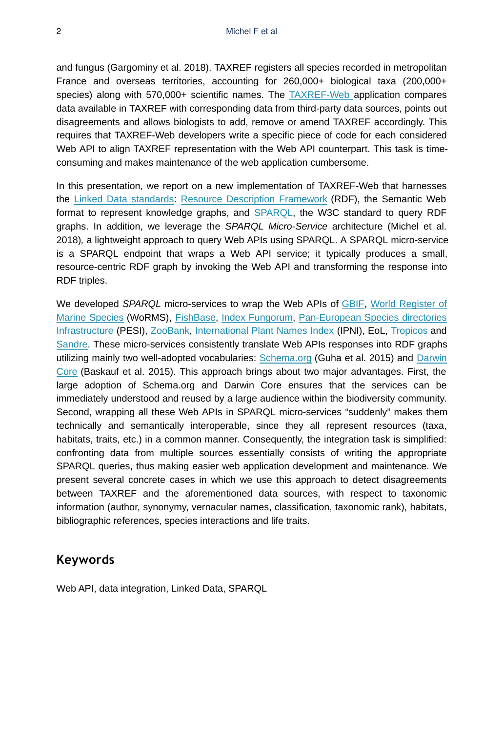and fungus (Gargominy et al. 2018). TAXREF registers all species recorded in metropolitan France and overseas territories, accounting for 260,000+ biological taxa (200,000+ species) along with 570,000+ scientific names. The [TAXREF-Web a](https://taxref.mnhn.fr/taxref-web/)pplication compares data available in TAXREF with corresponding data from third-party data sources, points out disagreements and allows biologists to add, remove or amend TAXREF accordingly. This requires that TAXREF-Web developers write a specific piece of code for each considered Web API to align TAXREF representation with the Web API counterpart. This task is timeconsuming and makes maintenance of the web application cumbersome.

In this presentation, we report on a new implementation of TAXREF-Web that harnesses the [Linked Data standards:](https://www.w3.org/standards/semanticweb/data) [Resource Description Framework](https://www.w3.org/TR/2014/REC-rdf11-concepts-20140225/) (RDF), the Semantic Web format to represent knowledge graphs, and [SPARQL](http://www.w3.org/TR/2013/REC-sparql11-query-20130321/), the W3C standard to query RDF graphs. In addition, we leverage the *SPARQL Micro-Service* architecture (Michel et al. 2018)*,* a lightweight approach to query Web APIs using SPARQL. A SPARQL micro-service is a SPARQL endpoint that wraps a Web API service; it typically produces a small, resource-centric RDF graph by invoking the Web API and transforming the response into RDF triples.

We developed *SPARQL* micro-services to wrap the Web APIs of [GBIF,](http://gbif.org/) [World Register of](http://www.marinespecies.org/) [Marine Species](http://www.marinespecies.org/) (WoRMS), [FishBase](http://fishbase.org), [Index Fungorum](http://www.indexfungorum.org/), [Pan-European Species directories](http://www.eu-nomen.eu/pesi/) [Infrastructure](http://www.eu-nomen.eu/pesi/) (PESI), [ZooBank](http://zoobank.org/), [International Plant Names Index](http://www.ipni.org/) (IPNI), EoL, [Tropicos](http://tropicos.org/) and [Sandre](http://www.sandre.eaufrance.fr/). These micro-services consistently translate Web APIs responses into RDF graphs utilizing mainly two well-adopted vocabularies: [Schema.org](https://schema.org/) (Guha et al. 2015) and [Darwin](https://dwc.tdwg.org/rdf/) [Core](https://dwc.tdwg.org/rdf/) (Baskauf et al. 2015). This approach brings about two major advantages. First, the large adoption of Schema.org and Darwin Core ensures that the services can be immediately understood and reused by a large audience within the biodiversity community. Second, wrapping all these Web APIs in SPARQL micro-services "suddenly" makes them technically and semantically interoperable, since they all represent resources (taxa, habitats, traits, etc.) in a common manner. Consequently, the integration task is simplified: confronting data from multiple sources essentially consists of writing the appropriate SPARQL queries, thus making easier web application development and maintenance. We present several concrete cases in which we use this approach to detect disagreements between TAXREF and the aforementioned data sources, with respect to taxonomic information (author, synonymy, vernacular names, classification, taxonomic rank), habitats, bibliographic references, species interactions and life traits.

## **Keywords**

Web API, data integration, Linked Data, SPARQL